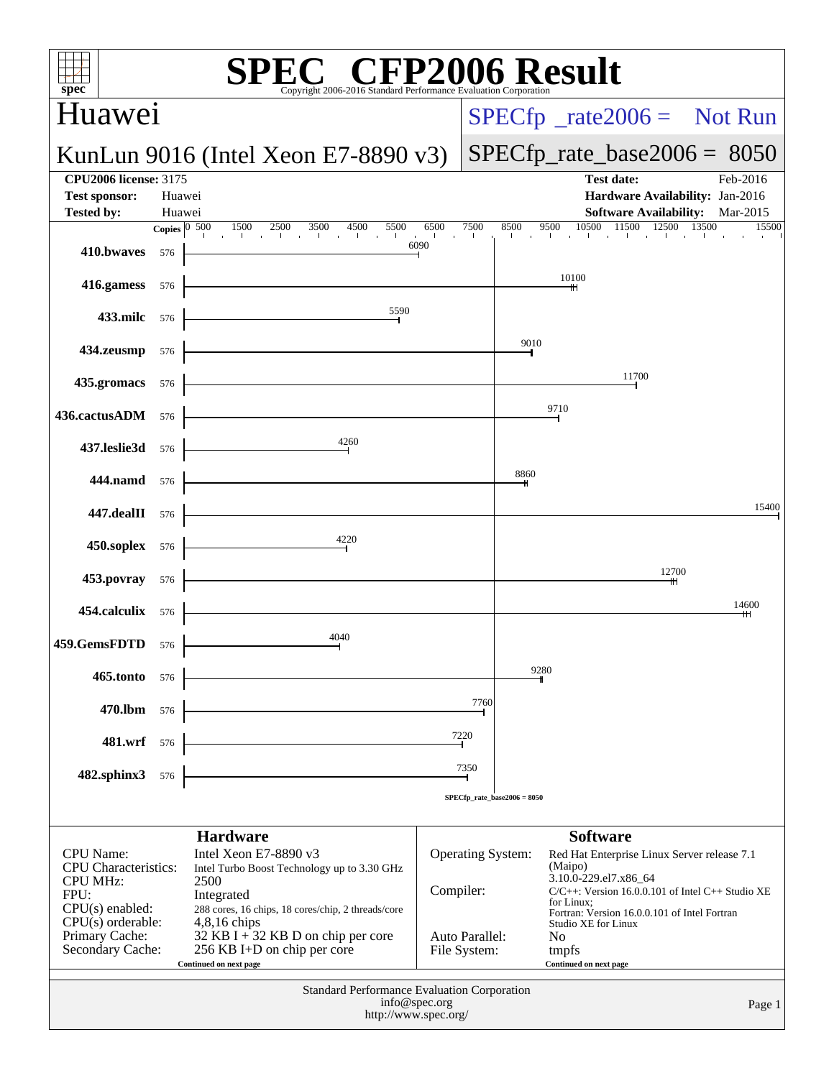| spec <sup>®</sup>                                                                                                                                            |                  | <b>PEC<sup>®</sup> CFP2006 Result</b><br>Copyright 2006-2016 Standard Performance Evaluation Corporation                                                                                                                                                    |                                             |                                  |                                |                                                                                                                                                                                                                                                                 |
|--------------------------------------------------------------------------------------------------------------------------------------------------------------|------------------|-------------------------------------------------------------------------------------------------------------------------------------------------------------------------------------------------------------------------------------------------------------|---------------------------------------------|----------------------------------|--------------------------------|-----------------------------------------------------------------------------------------------------------------------------------------------------------------------------------------------------------------------------------------------------------------|
| Huawei                                                                                                                                                       |                  |                                                                                                                                                                                                                                                             |                                             |                                  |                                | $SPECfp^{\circ}\_rate2006 =$ Not Run                                                                                                                                                                                                                            |
|                                                                                                                                                              |                  | KunLun 9016 (Intel Xeon E7-8890 $v3$ )                                                                                                                                                                                                                      |                                             |                                  |                                | $SPECfp\_rate\_base2006 = 8050$                                                                                                                                                                                                                                 |
| <b>CPU2006 license: 3175</b><br><b>Test sponsor:</b><br><b>Tested by:</b>                                                                                    | Huawei<br>Huawei |                                                                                                                                                                                                                                                             |                                             |                                  |                                | <b>Test date:</b><br>Feb-2016<br>Hardware Availability: Jan-2016<br><b>Software Availability:</b> Mar-2015                                                                                                                                                      |
|                                                                                                                                                              |                  | <b>Copies</b> $\begin{bmatrix} 0 & 500 & 1500 & 2500 & 3500 & 4500 & 5500 & 6500 \end{bmatrix}$                                                                                                                                                             | 6090                                        | 7500<br><b>Contract Contract</b> | 8500                           | 10500<br>11500 12500<br>9500<br>13500<br>15500<br>the contract the contract of the contract of                                                                                                                                                                  |
| 410.bwaves                                                                                                                                                   | 576              |                                                                                                                                                                                                                                                             |                                             |                                  |                                | 10100                                                                                                                                                                                                                                                           |
| 416.gamess                                                                                                                                                   | 576              | 5590                                                                                                                                                                                                                                                        |                                             |                                  |                                | ╫                                                                                                                                                                                                                                                               |
| <b>433.milc</b> 576                                                                                                                                          |                  | $\overbrace{ }^{5590}$                                                                                                                                                                                                                                      |                                             |                                  | 9010                           |                                                                                                                                                                                                                                                                 |
| <b>434.zeusmp</b> 576                                                                                                                                        |                  |                                                                                                                                                                                                                                                             |                                             |                                  |                                |                                                                                                                                                                                                                                                                 |
| 435.gromacs 576                                                                                                                                              |                  |                                                                                                                                                                                                                                                             |                                             |                                  |                                | 11700                                                                                                                                                                                                                                                           |
| 436.cactusADM 576                                                                                                                                            |                  |                                                                                                                                                                                                                                                             |                                             |                                  |                                | 9710                                                                                                                                                                                                                                                            |
| <b>437.leslie3d</b> 576                                                                                                                                      |                  | $\begin{array}{c c}\n & 4260 \\ \hline\n \end{array}$                                                                                                                                                                                                       |                                             |                                  |                                |                                                                                                                                                                                                                                                                 |
| <b>444.namd</b> 576                                                                                                                                          |                  |                                                                                                                                                                                                                                                             |                                             |                                  | 8860                           |                                                                                                                                                                                                                                                                 |
| <b>447.dealII</b> 576                                                                                                                                        |                  |                                                                                                                                                                                                                                                             |                                             |                                  |                                | 15400                                                                                                                                                                                                                                                           |
| <b>450.soplex</b> 576                                                                                                                                        |                  | $\begin{array}{c c}\n & 4220 \\ \hline\n \end{array}$                                                                                                                                                                                                       |                                             |                                  |                                |                                                                                                                                                                                                                                                                 |
| <b>453.povray</b> 576                                                                                                                                        |                  |                                                                                                                                                                                                                                                             |                                             |                                  |                                | 12700                                                                                                                                                                                                                                                           |
| 454.calculix 576                                                                                                                                             |                  |                                                                                                                                                                                                                                                             |                                             |                                  |                                | 14600                                                                                                                                                                                                                                                           |
| 459.GemsFDTD 576                                                                                                                                             |                  | 4040                                                                                                                                                                                                                                                        |                                             |                                  |                                |                                                                                                                                                                                                                                                                 |
| 465.tonto                                                                                                                                                    | 576              |                                                                                                                                                                                                                                                             |                                             |                                  | 9280                           |                                                                                                                                                                                                                                                                 |
| 470.1bm 576                                                                                                                                                  |                  |                                                                                                                                                                                                                                                             |                                             | 7760<br>⊣                        |                                |                                                                                                                                                                                                                                                                 |
| 481.wrf 576                                                                                                                                                  |                  |                                                                                                                                                                                                                                                             | 7220<br>⊣                                   |                                  |                                |                                                                                                                                                                                                                                                                 |
| 482.sphinx3 576                                                                                                                                              |                  |                                                                                                                                                                                                                                                             |                                             | 7350<br>⊣                        |                                |                                                                                                                                                                                                                                                                 |
|                                                                                                                                                              |                  |                                                                                                                                                                                                                                                             |                                             |                                  | SPECfp rate base $2006 = 8050$ |                                                                                                                                                                                                                                                                 |
| <b>CPU</b> Name:<br><b>CPU</b> Characteristics:<br><b>CPU MHz:</b><br>FPU:<br>$CPU(s)$ enabled:<br>$CPU(s)$ orderable:<br>Primary Cache:<br>Secondary Cache: |                  | <b>Hardware</b><br>Intel Xeon E7-8890 v3<br>Intel Turbo Boost Technology up to 3.30 GHz<br>2500<br>Integrated<br>288 cores, 16 chips, 18 cores/chip, 2 threads/core<br>$4,8,16$ chips<br>32 KB I $+32$ KB D on chip per core<br>256 KB I+D on chip per core | Compiler:<br>Auto Parallel:<br>File System: |                                  | <b>Operating System:</b>       | <b>Software</b><br>Red Hat Enterprise Linux Server release 7.1<br>(Maipo)<br>3.10.0-229.el7.x86_64<br>$C/C++$ : Version 16.0.0.101 of Intel $C++$ Studio XE<br>for Linux:<br>Fortran: Version 16.0.0.101 of Intel Fortran<br>Studio XE for Linux<br>No<br>tmpfs |
|                                                                                                                                                              |                  | Continued on next page<br>Standard Performance Evaluation Corporation<br>http://www.spec.org/                                                                                                                                                               | info@spec.org                               |                                  |                                | Continued on next page<br>Page 1                                                                                                                                                                                                                                |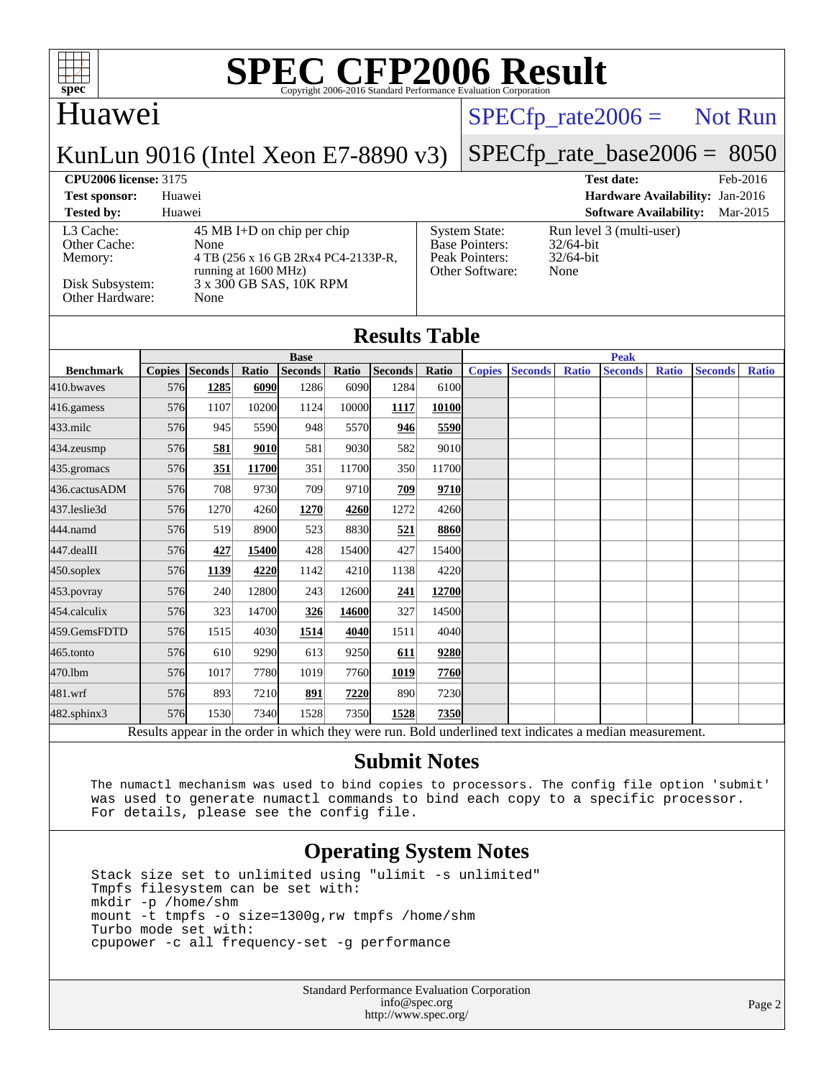

### Huawei

### $SPECTp\_rate2006 =$  Not Run

### KunLun 9016 (Intel Xeon E7-8890 v3)

## [SPECfp\\_rate\\_base2006 =](http://www.spec.org/auto/cpu2006/Docs/result-fields.html#SPECfpratebase2006) 8050

**[CPU2006 license:](http://www.spec.org/auto/cpu2006/Docs/result-fields.html#CPU2006license)** 3175 **[Test date:](http://www.spec.org/auto/cpu2006/Docs/result-fields.html#Testdate)** Feb-2016 **[Test sponsor:](http://www.spec.org/auto/cpu2006/Docs/result-fields.html#Testsponsor)** Huawei **[Hardware Availability:](http://www.spec.org/auto/cpu2006/Docs/result-fields.html#HardwareAvailability)** Jan-2016 **[Tested by:](http://www.spec.org/auto/cpu2006/Docs/result-fields.html#Testedby)** Huawei **[Software Availability:](http://www.spec.org/auto/cpu2006/Docs/result-fields.html#SoftwareAvailability)** Mar-2015

[L3 Cache:](http://www.spec.org/auto/cpu2006/Docs/result-fields.html#L3Cache) 45 MB I+D on chip per chip<br>Other Cache: None [Other Cache:](http://www.spec.org/auto/cpu2006/Docs/result-fields.html#OtherCache) [Memory:](http://www.spec.org/auto/cpu2006/Docs/result-fields.html#Memory) 4 TB (256 x 16 GB 2Rx4 PC4-2133P-R, running at 1600 MHz) [Disk Subsystem:](http://www.spec.org/auto/cpu2006/Docs/result-fields.html#DiskSubsystem)  $3 \times 300$  GB SAS, 10K RPM<br>Other Hardware: None [Other Hardware:](http://www.spec.org/auto/cpu2006/Docs/result-fields.html#OtherHardware)

| <b>System State:</b><br><b>Base Pointers:</b><br>Peak Pointers:<br>Other Software: |
|------------------------------------------------------------------------------------|
|                                                                                    |

Run level 3 (multi-user) 32/64-bit 32/64-bit None.

**[Results Table](http://www.spec.org/auto/cpu2006/Docs/result-fields.html#ResultsTable)**

|                                                                                       | <b>Base</b>   |                |       |                |       |                | <b>Peak</b> |               |                |              |                |              |                |              |
|---------------------------------------------------------------------------------------|---------------|----------------|-------|----------------|-------|----------------|-------------|---------------|----------------|--------------|----------------|--------------|----------------|--------------|
| <b>Benchmark</b>                                                                      | <b>Copies</b> | <b>Seconds</b> | Ratio | <b>Seconds</b> | Ratio | <b>Seconds</b> | Ratio       | <b>Copies</b> | <b>Seconds</b> | <b>Ratio</b> | <b>Seconds</b> | <b>Ratio</b> | <b>Seconds</b> | <b>Ratio</b> |
| 410.bwaves                                                                            | 576           | 1285           | 6090  | 1286           | 6090  | 1284           | 6100        |               |                |              |                |              |                |              |
| 416.gamess                                                                            | 576           | 1107           | 10200 | 1124           | 10000 | 1117           | 10100       |               |                |              |                |              |                |              |
| $433$ .milc                                                                           | 576           | 945            | 5590  | 948            | 5570  | 946            | 5590        |               |                |              |                |              |                |              |
| $434$ . zeusmp                                                                        | 576           | 581            | 9010  | 581            | 9030  | 582            | 9010        |               |                |              |                |              |                |              |
| 435.gromacs                                                                           | 576           | 351            | 11700 | 351            | 11700 | 350            | 11700       |               |                |              |                |              |                |              |
| 436.cactusADM                                                                         | 576           | 708            | 9730  | 709            | 9710  | 709            | 9710        |               |                |              |                |              |                |              |
| 437.leslie3d                                                                          | 576           | 1270           | 4260  | 1270           | 4260  | 1272           | 4260        |               |                |              |                |              |                |              |
| 444.namd                                                                              | 576           | 519            | 8900  | 523            | 8830  | 521            | 8860        |               |                |              |                |              |                |              |
| 447.dealII                                                                            | 576           | 427            | 15400 | 428            | 15400 | 427            | 15400       |               |                |              |                |              |                |              |
| $450$ .soplex                                                                         | 576           | 1139           | 4220  | 1142           | 4210  | 1138           | 4220        |               |                |              |                |              |                |              |
| $453$ . povray                                                                        | 576           | 240            | 12800 | 243            | 12600 | 241            | 12700       |               |                |              |                |              |                |              |
| 454.calculix                                                                          | 576           | 323            | 14700 | 326            | 14600 | 327            | 14500       |               |                |              |                |              |                |              |
| 459.GemsFDTD                                                                          | 576           | 1515           | 4030  | 1514           | 4040  | 1511           | 4040        |               |                |              |                |              |                |              |
| $465$ .tonto                                                                          | 576           | 610            | 9290  | 613            | 9250  | 611            | 9280        |               |                |              |                |              |                |              |
| 470.1bm                                                                               | 576           | 1017           | 7780  | 1019           | 7760  | 1019           | 7760        |               |                |              |                |              |                |              |
| $481$ .wrf                                                                            | 576           | 893            | 7210  | 891            | 7220  | 890            | 7230        |               |                |              |                |              |                |              |
| 482.sphinx3                                                                           | 576           | 1530           | 7340  | 1528           | 7350  | 1528           | 7350        |               |                |              |                |              |                |              |
| $\mathbf{1}$<br>$\cdot$ $\cdot$<br>1.1.1<br>D.<br>T11<br>$\mathbf{1}$<br>$\mathbf{1}$ |               |                |       |                |       |                |             |               |                |              |                |              |                |              |

Results appear in the [order in which they were run.](http://www.spec.org/auto/cpu2006/Docs/result-fields.html#RunOrder) Bold underlined text [indicates a median measurement.](http://www.spec.org/auto/cpu2006/Docs/result-fields.html#Median)

### **[Submit Notes](http://www.spec.org/auto/cpu2006/Docs/result-fields.html#SubmitNotes)**

 The numactl mechanism was used to bind copies to processors. The config file option 'submit' was used to generate numactl commands to bind each copy to a specific processor. For details, please see the config file.

### **[Operating System Notes](http://www.spec.org/auto/cpu2006/Docs/result-fields.html#OperatingSystemNotes)**

 Stack size set to unlimited using "ulimit -s unlimited" Tmpfs filesystem can be set with: mkdir -p /home/shm mount -t tmpfs -o size=1300g,rw tmpfs /home/shm Turbo mode set with: cpupower -c all frequency-set -g performance

> Standard Performance Evaluation Corporation [info@spec.org](mailto:info@spec.org) <http://www.spec.org/>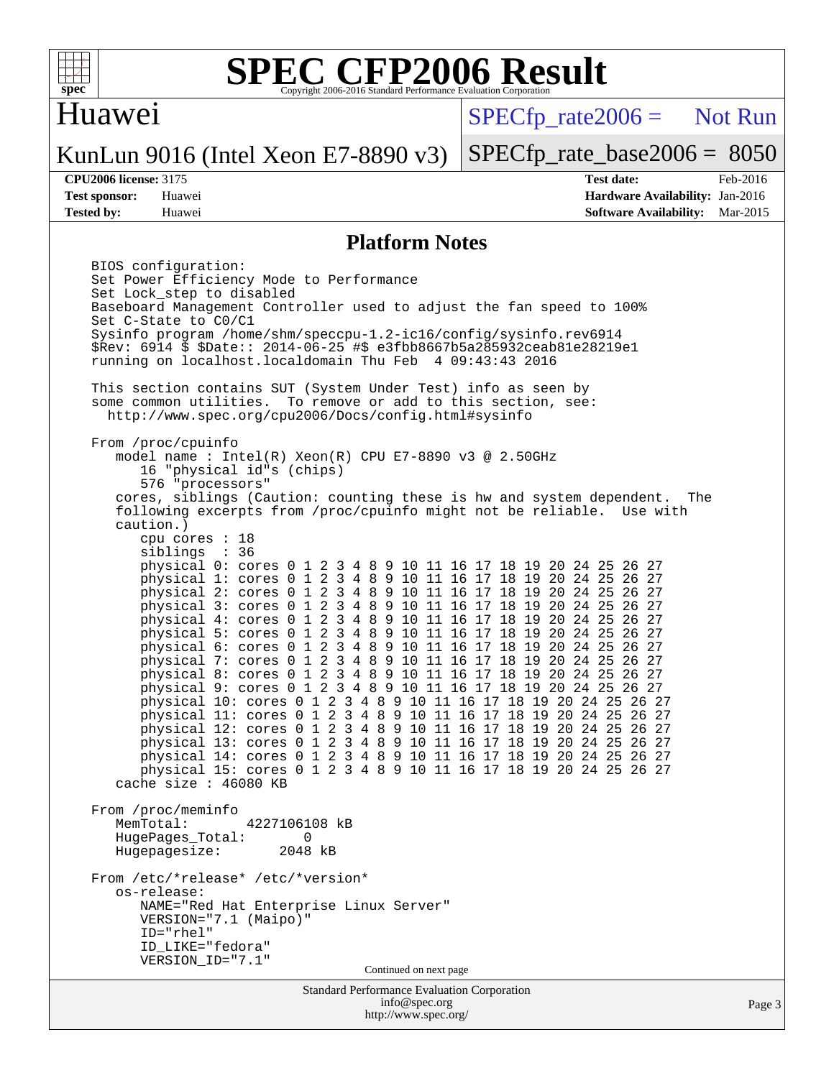

### Huawei

 $SPECTp\_rate2006 =$  Not Run

### KunLun 9016 (Intel Xeon E7-8890 v3)

[SPECfp\\_rate\\_base2006 =](http://www.spec.org/auto/cpu2006/Docs/result-fields.html#SPECfpratebase2006) 8050

**[CPU2006 license:](http://www.spec.org/auto/cpu2006/Docs/result-fields.html#CPU2006license)** 3175 **[Test date:](http://www.spec.org/auto/cpu2006/Docs/result-fields.html#Testdate)** Feb-2016 **[Test sponsor:](http://www.spec.org/auto/cpu2006/Docs/result-fields.html#Testsponsor)** Huawei **[Hardware Availability:](http://www.spec.org/auto/cpu2006/Docs/result-fields.html#HardwareAvailability)** Jan-2016 **[Tested by:](http://www.spec.org/auto/cpu2006/Docs/result-fields.html#Testedby)** Huawei **[Software Availability:](http://www.spec.org/auto/cpu2006/Docs/result-fields.html#SoftwareAvailability)** Mar-2015

### **[Platform Notes](http://www.spec.org/auto/cpu2006/Docs/result-fields.html#PlatformNotes)**

<http://www.spec.org/>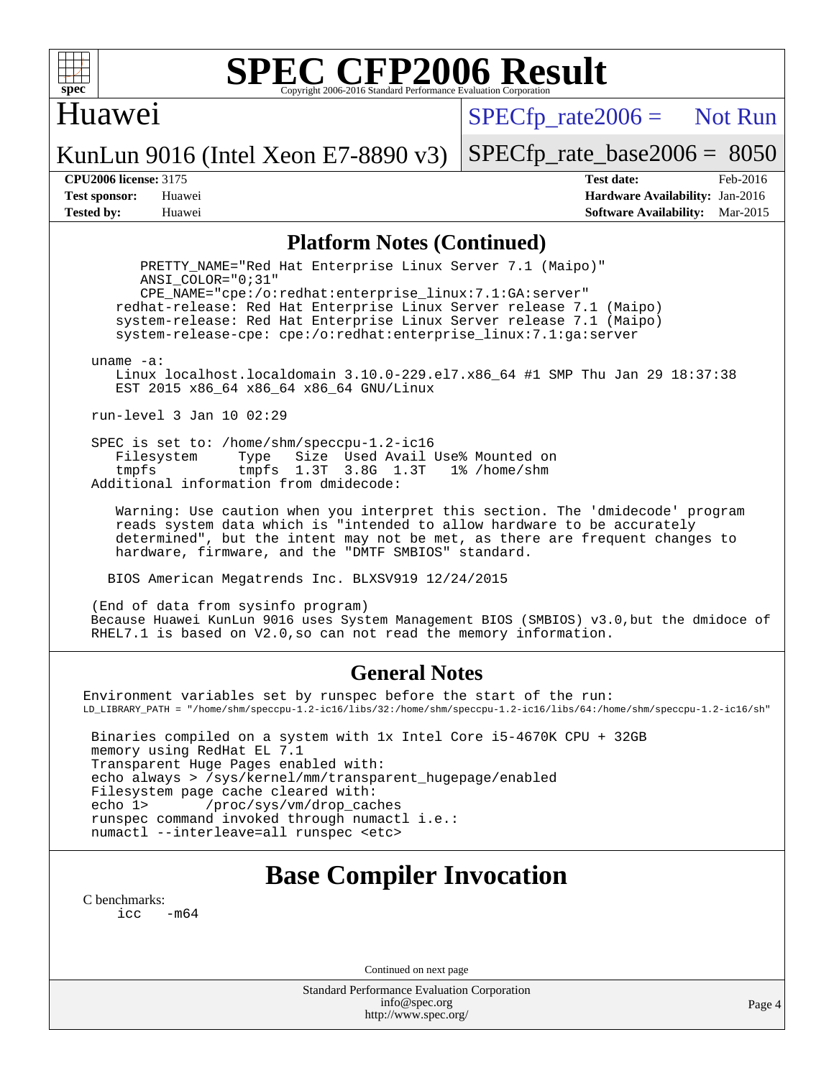

### Huawei

 $SPECfp_rate2006 =$  Not Run

KunLun 9016 (Intel Xeon E7-8890 v3)

[SPECfp\\_rate\\_base2006 =](http://www.spec.org/auto/cpu2006/Docs/result-fields.html#SPECfpratebase2006) 8050

**[CPU2006 license:](http://www.spec.org/auto/cpu2006/Docs/result-fields.html#CPU2006license)** 3175 **[Test date:](http://www.spec.org/auto/cpu2006/Docs/result-fields.html#Testdate)** Feb-2016 **[Test sponsor:](http://www.spec.org/auto/cpu2006/Docs/result-fields.html#Testsponsor)** Huawei **[Hardware Availability:](http://www.spec.org/auto/cpu2006/Docs/result-fields.html#HardwareAvailability)** Jan-2016 **[Tested by:](http://www.spec.org/auto/cpu2006/Docs/result-fields.html#Testedby)** Huawei **[Software Availability:](http://www.spec.org/auto/cpu2006/Docs/result-fields.html#SoftwareAvailability)** Mar-2015

### **[Platform Notes \(Continued\)](http://www.spec.org/auto/cpu2006/Docs/result-fields.html#PlatformNotes)**

 PRETTY\_NAME="Red Hat Enterprise Linux Server 7.1 (Maipo)" ANSI\_COLOR="0;31" CPE\_NAME="cpe:/o:redhat:enterprise\_linux:7.1:GA:server" redhat-release: Red Hat Enterprise Linux Server release 7.1 (Maipo) system-release: Red Hat Enterprise Linux Server release 7.1 (Maipo) system-release-cpe: cpe:/o:redhat:enterprise\_linux:7.1:ga:server uname -a: Linux localhost.localdomain 3.10.0-229.el7.x86\_64 #1 SMP Thu Jan 29 18:37:38 EST 2015 x86\_64 x86\_64 x86\_64 GNU/Linux run-level 3 Jan 10 02:29 SPEC is set to: /home/shm/speccpu-1.2-ic16<br>Filesystem Type Size Used Avail Type Size Used Avail Use% Mounted on tmpfs tmpfs 1.3T 3.8G 1.3T 1% /home/shm Additional information from dmidecode: Warning: Use caution when you interpret this section. The 'dmidecode' program reads system data which is "intended to allow hardware to be accurately determined", but the intent may not be met, as there are frequent changes to hardware, firmware, and the "DMTF SMBIOS" standard. BIOS American Megatrends Inc. BLXSV919 12/24/2015 (End of data from sysinfo program) Because Huawei KunLun 9016 uses System Management BIOS (SMBIOS) v3.0,but the dmidoce of RHEL7.1 is based on V2.0,so can not read the memory information. **[General Notes](http://www.spec.org/auto/cpu2006/Docs/result-fields.html#GeneralNotes)**

Environment variables set by runspec before the start of the run: LD\_LIBRARY\_PATH = "/home/shm/speccpu-1.2-ic16/libs/32:/home/shm/speccpu-1.2-ic16/libs/64:/home/shm/speccpu-1.2-ic16/sh"

 Binaries compiled on a system with 1x Intel Core i5-4670K CPU + 32GB memory using RedHat EL 7.1 Transparent Huge Pages enabled with: echo always > /sys/kernel/mm/transparent\_hugepage/enabled Filesystem page cache cleared with: echo 1> /proc/sys/vm/drop\_caches runspec command invoked through numactl i.e.: numactl --interleave=all runspec <etc>

## **[Base Compiler Invocation](http://www.spec.org/auto/cpu2006/Docs/result-fields.html#BaseCompilerInvocation)**

[C benchmarks](http://www.spec.org/auto/cpu2006/Docs/result-fields.html#Cbenchmarks):  $\text{icc}$  -m64

Continued on next page

Standard Performance Evaluation Corporation [info@spec.org](mailto:info@spec.org) <http://www.spec.org/>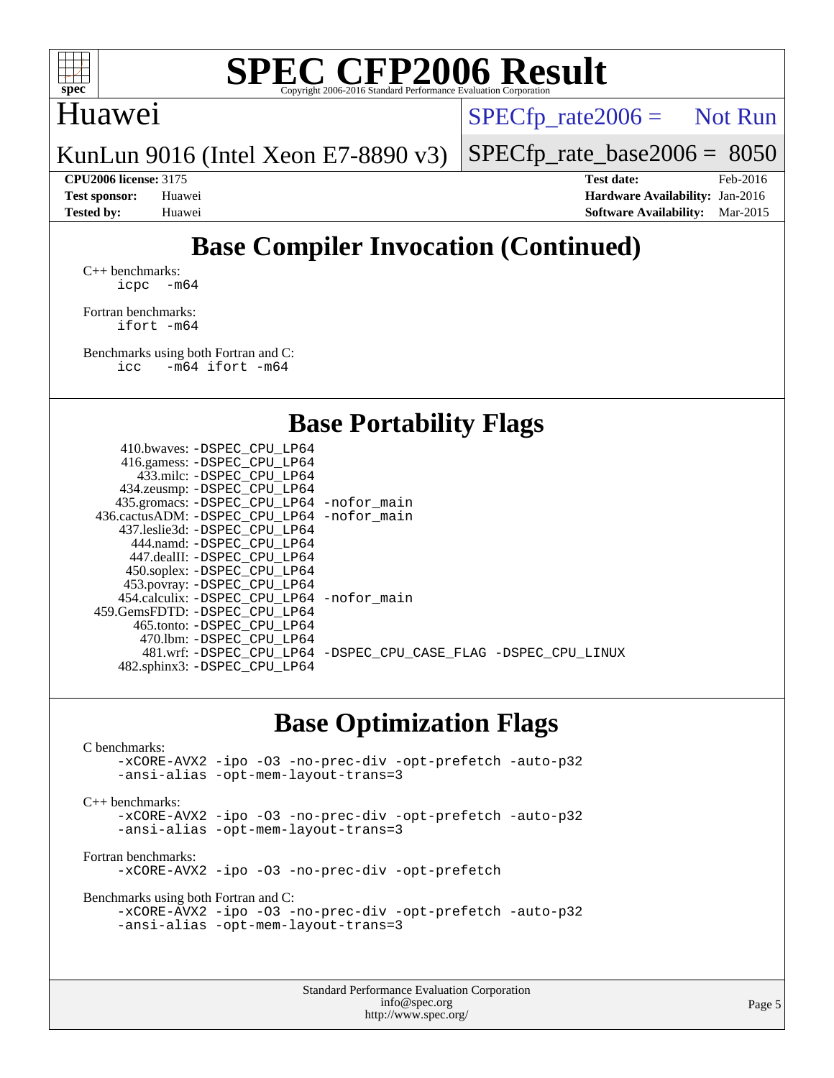

### Huawei

 $SPECfp_rate2006 =$  Not Run

KunLun 9016 (Intel Xeon E7-8890 v3)

[SPECfp\\_rate\\_base2006 =](http://www.spec.org/auto/cpu2006/Docs/result-fields.html#SPECfpratebase2006) 8050

**[CPU2006 license:](http://www.spec.org/auto/cpu2006/Docs/result-fields.html#CPU2006license)** 3175 **[Test date:](http://www.spec.org/auto/cpu2006/Docs/result-fields.html#Testdate)** Feb-2016 **[Test sponsor:](http://www.spec.org/auto/cpu2006/Docs/result-fields.html#Testsponsor)** Huawei **[Hardware Availability:](http://www.spec.org/auto/cpu2006/Docs/result-fields.html#HardwareAvailability)** Jan-2016 **[Tested by:](http://www.spec.org/auto/cpu2006/Docs/result-fields.html#Testedby)** Huawei **[Software Availability:](http://www.spec.org/auto/cpu2006/Docs/result-fields.html#SoftwareAvailability)** Mar-2015

## **[Base Compiler Invocation \(Continued\)](http://www.spec.org/auto/cpu2006/Docs/result-fields.html#BaseCompilerInvocation)**

[C++ benchmarks:](http://www.spec.org/auto/cpu2006/Docs/result-fields.html#CXXbenchmarks) [icpc -m64](http://www.spec.org/cpu2006/results/res2016q1/cpu2006-20160205-38962.flags.html#user_CXXbase_intel_icpc_64bit_bedb90c1146cab66620883ef4f41a67e)

[Fortran benchmarks](http://www.spec.org/auto/cpu2006/Docs/result-fields.html#Fortranbenchmarks): [ifort -m64](http://www.spec.org/cpu2006/results/res2016q1/cpu2006-20160205-38962.flags.html#user_FCbase_intel_ifort_64bit_ee9d0fb25645d0210d97eb0527dcc06e)

[Benchmarks using both Fortran and C](http://www.spec.org/auto/cpu2006/Docs/result-fields.html#BenchmarksusingbothFortranandC):<br>icc -m64 ifort -m64  $-m64$  ifort  $-m64$ 

**[Base Portability Flags](http://www.spec.org/auto/cpu2006/Docs/result-fields.html#BasePortabilityFlags)**

| 481.wrf: -DSPEC CPU LP64 -DSPEC CPU CASE FLAG -DSPEC CPU LINUX |
|----------------------------------------------------------------|
|                                                                |
|                                                                |

## **[Base Optimization Flags](http://www.spec.org/auto/cpu2006/Docs/result-fields.html#BaseOptimizationFlags)**

Standard Performance Evaluation Corporation [C benchmarks](http://www.spec.org/auto/cpu2006/Docs/result-fields.html#Cbenchmarks): [-xCORE-AVX2](http://www.spec.org/cpu2006/results/res2016q1/cpu2006-20160205-38962.flags.html#user_CCbase_f-xAVX2_5f5fc0cbe2c9f62c816d3e45806c70d7) [-ipo](http://www.spec.org/cpu2006/results/res2016q1/cpu2006-20160205-38962.flags.html#user_CCbase_f-ipo) [-O3](http://www.spec.org/cpu2006/results/res2016q1/cpu2006-20160205-38962.flags.html#user_CCbase_f-O3) [-no-prec-div](http://www.spec.org/cpu2006/results/res2016q1/cpu2006-20160205-38962.flags.html#user_CCbase_f-no-prec-div) [-opt-prefetch](http://www.spec.org/cpu2006/results/res2016q1/cpu2006-20160205-38962.flags.html#user_CCbase_f-opt-prefetch) [-auto-p32](http://www.spec.org/cpu2006/results/res2016q1/cpu2006-20160205-38962.flags.html#user_CCbase_f-auto-p32) [-ansi-alias](http://www.spec.org/cpu2006/results/res2016q1/cpu2006-20160205-38962.flags.html#user_CCbase_f-ansi-alias) [-opt-mem-layout-trans=3](http://www.spec.org/cpu2006/results/res2016q1/cpu2006-20160205-38962.flags.html#user_CCbase_f-opt-mem-layout-trans_a7b82ad4bd7abf52556d4961a2ae94d5) [C++ benchmarks:](http://www.spec.org/auto/cpu2006/Docs/result-fields.html#CXXbenchmarks) [-xCORE-AVX2](http://www.spec.org/cpu2006/results/res2016q1/cpu2006-20160205-38962.flags.html#user_CXXbase_f-xAVX2_5f5fc0cbe2c9f62c816d3e45806c70d7) [-ipo](http://www.spec.org/cpu2006/results/res2016q1/cpu2006-20160205-38962.flags.html#user_CXXbase_f-ipo) [-O3](http://www.spec.org/cpu2006/results/res2016q1/cpu2006-20160205-38962.flags.html#user_CXXbase_f-O3) [-no-prec-div](http://www.spec.org/cpu2006/results/res2016q1/cpu2006-20160205-38962.flags.html#user_CXXbase_f-no-prec-div) [-opt-prefetch](http://www.spec.org/cpu2006/results/res2016q1/cpu2006-20160205-38962.flags.html#user_CXXbase_f-opt-prefetch) [-auto-p32](http://www.spec.org/cpu2006/results/res2016q1/cpu2006-20160205-38962.flags.html#user_CXXbase_f-auto-p32) [-ansi-alias](http://www.spec.org/cpu2006/results/res2016q1/cpu2006-20160205-38962.flags.html#user_CXXbase_f-ansi-alias) [-opt-mem-layout-trans=3](http://www.spec.org/cpu2006/results/res2016q1/cpu2006-20160205-38962.flags.html#user_CXXbase_f-opt-mem-layout-trans_a7b82ad4bd7abf52556d4961a2ae94d5) [Fortran benchmarks](http://www.spec.org/auto/cpu2006/Docs/result-fields.html#Fortranbenchmarks): [-xCORE-AVX2](http://www.spec.org/cpu2006/results/res2016q1/cpu2006-20160205-38962.flags.html#user_FCbase_f-xAVX2_5f5fc0cbe2c9f62c816d3e45806c70d7) [-ipo](http://www.spec.org/cpu2006/results/res2016q1/cpu2006-20160205-38962.flags.html#user_FCbase_f-ipo) [-O3](http://www.spec.org/cpu2006/results/res2016q1/cpu2006-20160205-38962.flags.html#user_FCbase_f-O3) [-no-prec-div](http://www.spec.org/cpu2006/results/res2016q1/cpu2006-20160205-38962.flags.html#user_FCbase_f-no-prec-div) [-opt-prefetch](http://www.spec.org/cpu2006/results/res2016q1/cpu2006-20160205-38962.flags.html#user_FCbase_f-opt-prefetch) [Benchmarks using both Fortran and C](http://www.spec.org/auto/cpu2006/Docs/result-fields.html#BenchmarksusingbothFortranandC): [-xCORE-AVX2](http://www.spec.org/cpu2006/results/res2016q1/cpu2006-20160205-38962.flags.html#user_CC_FCbase_f-xAVX2_5f5fc0cbe2c9f62c816d3e45806c70d7) [-ipo](http://www.spec.org/cpu2006/results/res2016q1/cpu2006-20160205-38962.flags.html#user_CC_FCbase_f-ipo) [-O3](http://www.spec.org/cpu2006/results/res2016q1/cpu2006-20160205-38962.flags.html#user_CC_FCbase_f-O3) [-no-prec-div](http://www.spec.org/cpu2006/results/res2016q1/cpu2006-20160205-38962.flags.html#user_CC_FCbase_f-no-prec-div) [-opt-prefetch](http://www.spec.org/cpu2006/results/res2016q1/cpu2006-20160205-38962.flags.html#user_CC_FCbase_f-opt-prefetch) [-auto-p32](http://www.spec.org/cpu2006/results/res2016q1/cpu2006-20160205-38962.flags.html#user_CC_FCbase_f-auto-p32) [-ansi-alias](http://www.spec.org/cpu2006/results/res2016q1/cpu2006-20160205-38962.flags.html#user_CC_FCbase_f-ansi-alias) [-opt-mem-layout-trans=3](http://www.spec.org/cpu2006/results/res2016q1/cpu2006-20160205-38962.flags.html#user_CC_FCbase_f-opt-mem-layout-trans_a7b82ad4bd7abf52556d4961a2ae94d5)

[info@spec.org](mailto:info@spec.org) <http://www.spec.org/>